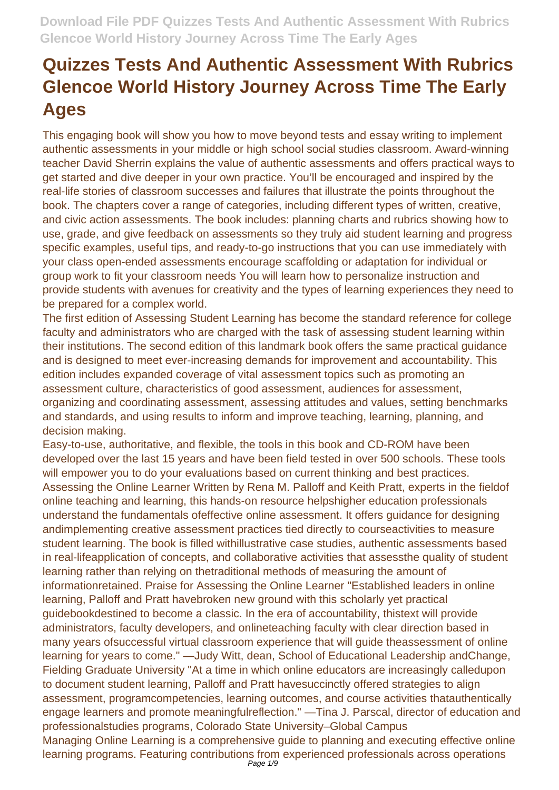This engaging book will show you how to move beyond tests and essay writing to implement authentic assessments in your middle or high school social studies classroom. Award-winning teacher David Sherrin explains the value of authentic assessments and offers practical ways to get started and dive deeper in your own practice. You'll be encouraged and inspired by the real-life stories of classroom successes and failures that illustrate the points throughout the book. The chapters cover a range of categories, including different types of written, creative, and civic action assessments. The book includes: planning charts and rubrics showing how to use, grade, and give feedback on assessments so they truly aid student learning and progress specific examples, useful tips, and ready-to-go instructions that you can use immediately with your class open-ended assessments encourage scaffolding or adaptation for individual or group work to fit your classroom needs You will learn how to personalize instruction and provide students with avenues for creativity and the types of learning experiences they need to be prepared for a complex world.

The first edition of Assessing Student Learning has become the standard reference for college faculty and administrators who are charged with the task of assessing student learning within their institutions. The second edition of this landmark book offers the same practical guidance and is designed to meet ever-increasing demands for improvement and accountability. This edition includes expanded coverage of vital assessment topics such as promoting an assessment culture, characteristics of good assessment, audiences for assessment, organizing and coordinating assessment, assessing attitudes and values, setting benchmarks and standards, and using results to inform and improve teaching, learning, planning, and decision making.

Easy-to-use, authoritative, and flexible, the tools in this book and CD-ROM have been developed over the last 15 years and have been field tested in over 500 schools. These tools will empower you to do your evaluations based on current thinking and best practices. Assessing the Online Learner Written by Rena M. Palloff and Keith Pratt, experts in the fieldof online teaching and learning, this hands-on resource helpshigher education professionals understand the fundamentals ofeffective online assessment. It offers guidance for designing andimplementing creative assessment practices tied directly to courseactivities to measure student learning. The book is filled withillustrative case studies, authentic assessments based in real-lifeapplication of concepts, and collaborative activities that assessthe quality of student learning rather than relying on thetraditional methods of measuring the amount of informationretained. Praise for Assessing the Online Learner "Established leaders in online learning, Palloff and Pratt havebroken new ground with this scholarly yet practical guidebookdestined to become a classic. In the era of accountability, thistext will provide administrators, faculty developers, and onlineteaching faculty with clear direction based in many years ofsuccessful virtual classroom experience that will guide theassessment of online learning for years to come." —Judy Witt, dean, School of Educational Leadership andChange, Fielding Graduate University "At a time in which online educators are increasingly calledupon to document student learning, Palloff and Pratt havesuccinctly offered strategies to align assessment, programcompetencies, learning outcomes, and course activities thatauthentically engage learners and promote meaningfulreflection." —Tina J. Parscal, director of education and professionalstudies programs, Colorado State University–Global Campus Managing Online Learning is a comprehensive guide to planning and executing effective online learning programs. Featuring contributions from experienced professionals across operations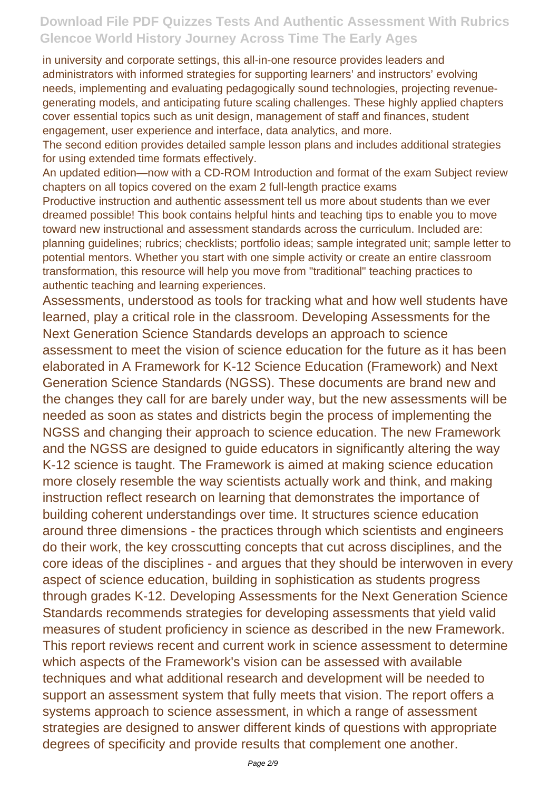in university and corporate settings, this all-in-one resource provides leaders and administrators with informed strategies for supporting learners' and instructors' evolving needs, implementing and evaluating pedagogically sound technologies, projecting revenuegenerating models, and anticipating future scaling challenges. These highly applied chapters cover essential topics such as unit design, management of staff and finances, student engagement, user experience and interface, data analytics, and more.

The second edition provides detailed sample lesson plans and includes additional strategies for using extended time formats effectively.

An updated edition—now with a CD-ROM Introduction and format of the exam Subject review chapters on all topics covered on the exam 2 full-length practice exams

Productive instruction and authentic assessment tell us more about students than we ever dreamed possible! This book contains helpful hints and teaching tips to enable you to move toward new instructional and assessment standards across the curriculum. Included are: planning guidelines; rubrics; checklists; portfolio ideas; sample integrated unit; sample letter to potential mentors. Whether you start with one simple activity or create an entire classroom transformation, this resource will help you move from "traditional" teaching practices to authentic teaching and learning experiences.

Assessments, understood as tools for tracking what and how well students have learned, play a critical role in the classroom. Developing Assessments for the Next Generation Science Standards develops an approach to science assessment to meet the vision of science education for the future as it has been elaborated in A Framework for K-12 Science Education (Framework) and Next Generation Science Standards (NGSS). These documents are brand new and the changes they call for are barely under way, but the new assessments will be needed as soon as states and districts begin the process of implementing the NGSS and changing their approach to science education. The new Framework and the NGSS are designed to guide educators in significantly altering the way K-12 science is taught. The Framework is aimed at making science education more closely resemble the way scientists actually work and think, and making instruction reflect research on learning that demonstrates the importance of building coherent understandings over time. It structures science education around three dimensions - the practices through which scientists and engineers do their work, the key crosscutting concepts that cut across disciplines, and the core ideas of the disciplines - and argues that they should be interwoven in every aspect of science education, building in sophistication as students progress through grades K-12. Developing Assessments for the Next Generation Science Standards recommends strategies for developing assessments that yield valid measures of student proficiency in science as described in the new Framework. This report reviews recent and current work in science assessment to determine which aspects of the Framework's vision can be assessed with available techniques and what additional research and development will be needed to support an assessment system that fully meets that vision. The report offers a systems approach to science assessment, in which a range of assessment strategies are designed to answer different kinds of questions with appropriate degrees of specificity and provide results that complement one another.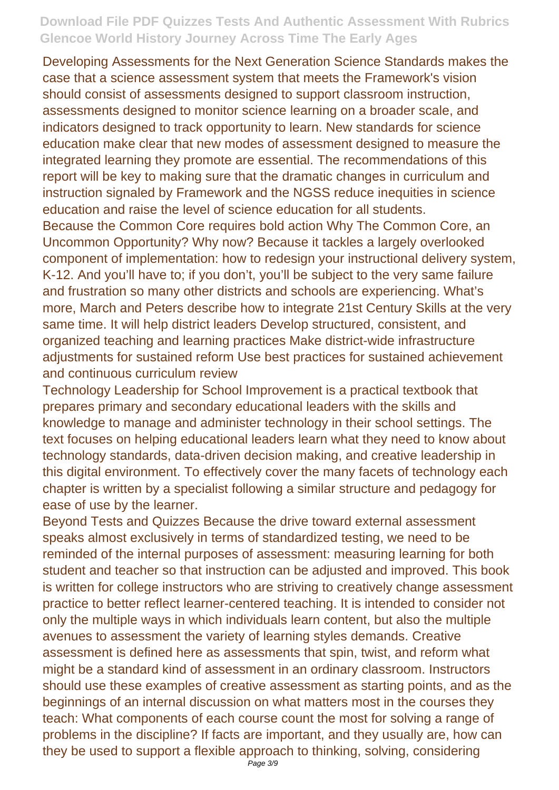Developing Assessments for the Next Generation Science Standards makes the case that a science assessment system that meets the Framework's vision should consist of assessments designed to support classroom instruction, assessments designed to monitor science learning on a broader scale, and indicators designed to track opportunity to learn. New standards for science education make clear that new modes of assessment designed to measure the integrated learning they promote are essential. The recommendations of this report will be key to making sure that the dramatic changes in curriculum and instruction signaled by Framework and the NGSS reduce inequities in science education and raise the level of science education for all students.

Because the Common Core requires bold action Why The Common Core, an Uncommon Opportunity? Why now? Because it tackles a largely overlooked component of implementation: how to redesign your instructional delivery system, K-12. And you'll have to; if you don't, you'll be subject to the very same failure and frustration so many other districts and schools are experiencing. What's more, March and Peters describe how to integrate 21st Century Skills at the very same time. It will help district leaders Develop structured, consistent, and organized teaching and learning practices Make district-wide infrastructure adjustments for sustained reform Use best practices for sustained achievement and continuous curriculum review

Technology Leadership for School Improvement is a practical textbook that prepares primary and secondary educational leaders with the skills and knowledge to manage and administer technology in their school settings. The text focuses on helping educational leaders learn what they need to know about technology standards, data-driven decision making, and creative leadership in this digital environment. To effectively cover the many facets of technology each chapter is written by a specialist following a similar structure and pedagogy for ease of use by the learner.

Beyond Tests and Quizzes Because the drive toward external assessment speaks almost exclusively in terms of standardized testing, we need to be reminded of the internal purposes of assessment: measuring learning for both student and teacher so that instruction can be adjusted and improved. This book is written for college instructors who are striving to creatively change assessment practice to better reflect learner-centered teaching. It is intended to consider not only the multiple ways in which individuals learn content, but also the multiple avenues to assessment the variety of learning styles demands. Creative assessment is defined here as assessments that spin, twist, and reform what might be a standard kind of assessment in an ordinary classroom. Instructors should use these examples of creative assessment as starting points, and as the beginnings of an internal discussion on what matters most in the courses they teach: What components of each course count the most for solving a range of problems in the discipline? If facts are important, and they usually are, how can they be used to support a flexible approach to thinking, solving, considering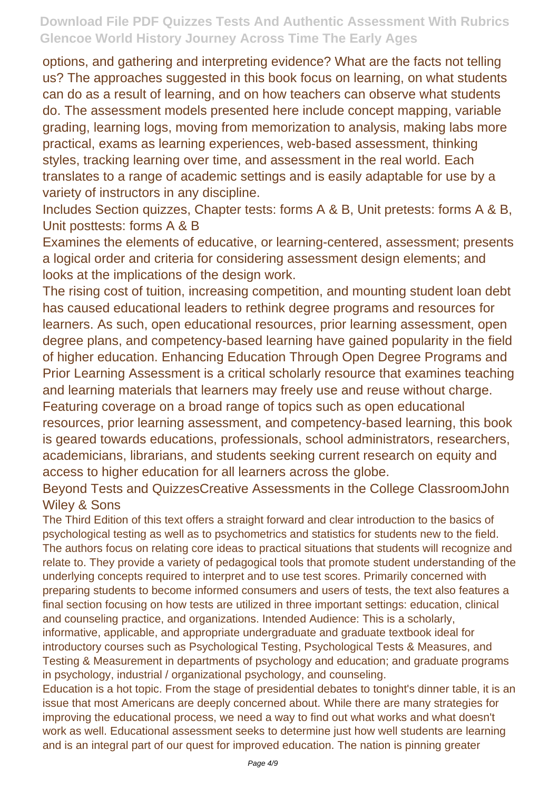options, and gathering and interpreting evidence? What are the facts not telling us? The approaches suggested in this book focus on learning, on what students can do as a result of learning, and on how teachers can observe what students do. The assessment models presented here include concept mapping, variable grading, learning logs, moving from memorization to analysis, making labs more practical, exams as learning experiences, web-based assessment, thinking styles, tracking learning over time, and assessment in the real world. Each translates to a range of academic settings and is easily adaptable for use by a variety of instructors in any discipline.

Includes Section quizzes, Chapter tests: forms A & B, Unit pretests: forms A & B, Unit posttests: forms A & B

Examines the elements of educative, or learning-centered, assessment; presents a logical order and criteria for considering assessment design elements; and looks at the implications of the design work.

The rising cost of tuition, increasing competition, and mounting student loan debt has caused educational leaders to rethink degree programs and resources for learners. As such, open educational resources, prior learning assessment, open degree plans, and competency-based learning have gained popularity in the field of higher education. Enhancing Education Through Open Degree Programs and Prior Learning Assessment is a critical scholarly resource that examines teaching and learning materials that learners may freely use and reuse without charge. Featuring coverage on a broad range of topics such as open educational resources, prior learning assessment, and competency-based learning, this book is geared towards educations, professionals, school administrators, researchers, academicians, librarians, and students seeking current research on equity and access to higher education for all learners across the globe.

Beyond Tests and QuizzesCreative Assessments in the College ClassroomJohn Wiley & Sons

The Third Edition of this text offers a straight forward and clear introduction to the basics of psychological testing as well as to psychometrics and statistics for students new to the field. The authors focus on relating core ideas to practical situations that students will recognize and relate to. They provide a variety of pedagogical tools that promote student understanding of the underlying concepts required to interpret and to use test scores. Primarily concerned with preparing students to become informed consumers and users of tests, the text also features a final section focusing on how tests are utilized in three important settings: education, clinical and counseling practice, and organizations. Intended Audience: This is a scholarly, informative, applicable, and appropriate undergraduate and graduate textbook ideal for introductory courses such as Psychological Testing, Psychological Tests & Measures, and Testing & Measurement in departments of psychology and education; and graduate programs in psychology, industrial / organizational psychology, and counseling.

Education is a hot topic. From the stage of presidential debates to tonight's dinner table, it is an issue that most Americans are deeply concerned about. While there are many strategies for improving the educational process, we need a way to find out what works and what doesn't work as well. Educational assessment seeks to determine just how well students are learning and is an integral part of our quest for improved education. The nation is pinning greater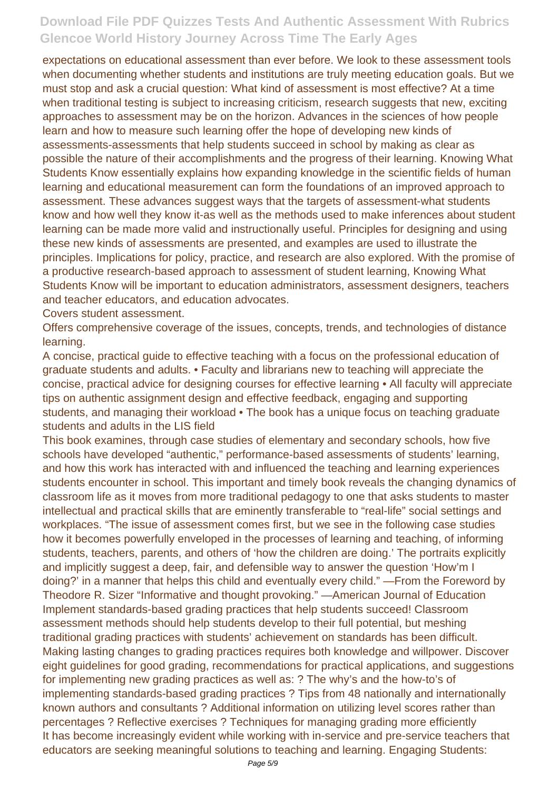expectations on educational assessment than ever before. We look to these assessment tools when documenting whether students and institutions are truly meeting education goals. But we must stop and ask a crucial question: What kind of assessment is most effective? At a time when traditional testing is subject to increasing criticism, research suggests that new, exciting approaches to assessment may be on the horizon. Advances in the sciences of how people learn and how to measure such learning offer the hope of developing new kinds of assessments-assessments that help students succeed in school by making as clear as possible the nature of their accomplishments and the progress of their learning. Knowing What Students Know essentially explains how expanding knowledge in the scientific fields of human learning and educational measurement can form the foundations of an improved approach to assessment. These advances suggest ways that the targets of assessment-what students know and how well they know it-as well as the methods used to make inferences about student learning can be made more valid and instructionally useful. Principles for designing and using these new kinds of assessments are presented, and examples are used to illustrate the principles. Implications for policy, practice, and research are also explored. With the promise of a productive research-based approach to assessment of student learning, Knowing What Students Know will be important to education administrators, assessment designers, teachers and teacher educators, and education advocates.

Covers student assessment.

Offers comprehensive coverage of the issues, concepts, trends, and technologies of distance learning.

A concise, practical guide to effective teaching with a focus on the professional education of graduate students and adults. • Faculty and librarians new to teaching will appreciate the concise, practical advice for designing courses for effective learning • All faculty will appreciate tips on authentic assignment design and effective feedback, engaging and supporting students, and managing their workload • The book has a unique focus on teaching graduate students and adults in the LIS field

This book examines, through case studies of elementary and secondary schools, how five schools have developed "authentic," performance-based assessments of students' learning, and how this work has interacted with and influenced the teaching and learning experiences students encounter in school. This important and timely book reveals the changing dynamics of classroom life as it moves from more traditional pedagogy to one that asks students to master intellectual and practical skills that are eminently transferable to "real-life" social settings and workplaces. "The issue of assessment comes first, but we see in the following case studies how it becomes powerfully enveloped in the processes of learning and teaching, of informing students, teachers, parents, and others of 'how the children are doing.' The portraits explicitly and implicitly suggest a deep, fair, and defensible way to answer the question 'How'm I doing?' in a manner that helps this child and eventually every child." —From the Foreword by Theodore R. Sizer "Informative and thought provoking." —American Journal of Education Implement standards-based grading practices that help students succeed! Classroom assessment methods should help students develop to their full potential, but meshing traditional grading practices with students' achievement on standards has been difficult. Making lasting changes to grading practices requires both knowledge and willpower. Discover eight guidelines for good grading, recommendations for practical applications, and suggestions for implementing new grading practices as well as: ? The why's and the how-to's of implementing standards-based grading practices ? Tips from 48 nationally and internationally known authors and consultants ? Additional information on utilizing level scores rather than percentages ? Reflective exercises ? Techniques for managing grading more efficiently It has become increasingly evident while working with in-service and pre-service teachers that educators are seeking meaningful solutions to teaching and learning. Engaging Students: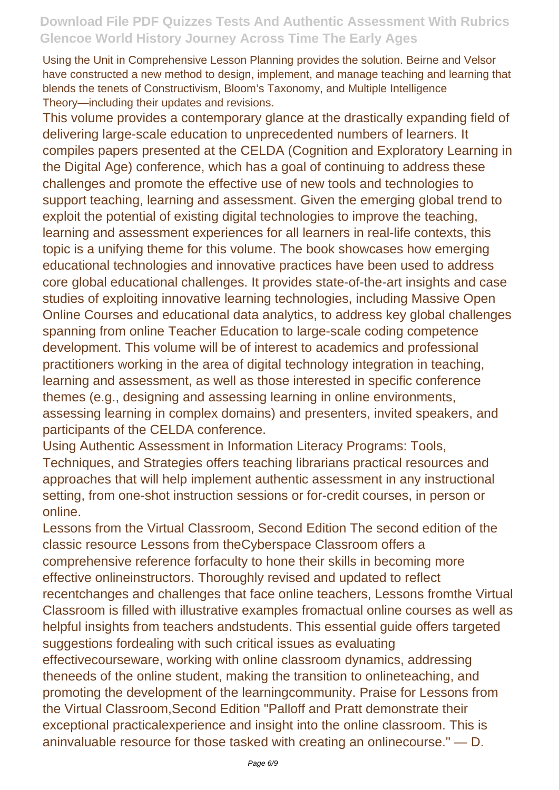Using the Unit in Comprehensive Lesson Planning provides the solution. Beirne and Velsor have constructed a new method to design, implement, and manage teaching and learning that blends the tenets of Constructivism, Bloom's Taxonomy, and Multiple Intelligence Theory—including their updates and revisions.

This volume provides a contemporary glance at the drastically expanding field of delivering large-scale education to unprecedented numbers of learners. It compiles papers presented at the CELDA (Cognition and Exploratory Learning in the Digital Age) conference, which has a goal of continuing to address these challenges and promote the effective use of new tools and technologies to support teaching, learning and assessment. Given the emerging global trend to exploit the potential of existing digital technologies to improve the teaching, learning and assessment experiences for all learners in real-life contexts, this topic is a unifying theme for this volume. The book showcases how emerging educational technologies and innovative practices have been used to address core global educational challenges. It provides state-of-the-art insights and case studies of exploiting innovative learning technologies, including Massive Open Online Courses and educational data analytics, to address key global challenges spanning from online Teacher Education to large-scale coding competence development. This volume will be of interest to academics and professional practitioners working in the area of digital technology integration in teaching, learning and assessment, as well as those interested in specific conference themes (e.g., designing and assessing learning in online environments, assessing learning in complex domains) and presenters, invited speakers, and participants of the CELDA conference.

Using Authentic Assessment in Information Literacy Programs: Tools, Techniques, and Strategies offers teaching librarians practical resources and approaches that will help implement authentic assessment in any instructional setting, from one-shot instruction sessions or for-credit courses, in person or online.

Lessons from the Virtual Classroom, Second Edition The second edition of the classic resource Lessons from theCyberspace Classroom offers a comprehensive reference forfaculty to hone their skills in becoming more effective onlineinstructors. Thoroughly revised and updated to reflect recentchanges and challenges that face online teachers, Lessons fromthe Virtual Classroom is filled with illustrative examples fromactual online courses as well as helpful insights from teachers andstudents. This essential guide offers targeted suggestions fordealing with such critical issues as evaluating effectivecourseware, working with online classroom dynamics, addressing theneeds of the online student, making the transition to onlineteaching, and promoting the development of the learningcommunity. Praise for Lessons from the Virtual Classroom,Second Edition "Palloff and Pratt demonstrate their exceptional practicalexperience and insight into the online classroom. This is aninvaluable resource for those tasked with creating an onlinecourse." — D.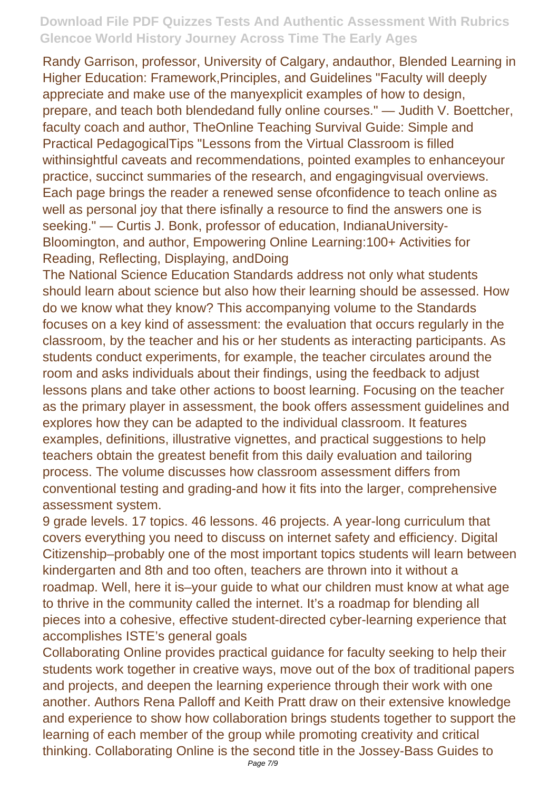Randy Garrison, professor, University of Calgary, andauthor, Blended Learning in Higher Education: Framework,Principles, and Guidelines "Faculty will deeply appreciate and make use of the manyexplicit examples of how to design, prepare, and teach both blendedand fully online courses." — Judith V. Boettcher, faculty coach and author, TheOnline Teaching Survival Guide: Simple and Practical PedagogicalTips "Lessons from the Virtual Classroom is filled withinsightful caveats and recommendations, pointed examples to enhanceyour practice, succinct summaries of the research, and engagingvisual overviews. Each page brings the reader a renewed sense ofconfidence to teach online as well as personal joy that there isfinally a resource to find the answers one is seeking." — Curtis J. Bonk, professor of education, IndianaUniversity-Bloomington, and author, Empowering Online Learning:100+ Activities for Reading, Reflecting, Displaying, andDoing

The National Science Education Standards address not only what students should learn about science but also how their learning should be assessed. How do we know what they know? This accompanying volume to the Standards focuses on a key kind of assessment: the evaluation that occurs regularly in the classroom, by the teacher and his or her students as interacting participants. As students conduct experiments, for example, the teacher circulates around the room and asks individuals about their findings, using the feedback to adjust lessons plans and take other actions to boost learning. Focusing on the teacher as the primary player in assessment, the book offers assessment guidelines and explores how they can be adapted to the individual classroom. It features examples, definitions, illustrative vignettes, and practical suggestions to help teachers obtain the greatest benefit from this daily evaluation and tailoring process. The volume discusses how classroom assessment differs from conventional testing and grading-and how it fits into the larger, comprehensive assessment system.

9 grade levels. 17 topics. 46 lessons. 46 projects. A year-long curriculum that covers everything you need to discuss on internet safety and efficiency. Digital Citizenship–probably one of the most important topics students will learn between kindergarten and 8th and too often, teachers are thrown into it without a roadmap. Well, here it is–your guide to what our children must know at what age to thrive in the community called the internet. It's a roadmap for blending all pieces into a cohesive, effective student-directed cyber-learning experience that accomplishes ISTE's general goals

Collaborating Online provides practical guidance for faculty seeking to help their students work together in creative ways, move out of the box of traditional papers and projects, and deepen the learning experience through their work with one another. Authors Rena Palloff and Keith Pratt draw on their extensive knowledge and experience to show how collaboration brings students together to support the learning of each member of the group while promoting creativity and critical thinking. Collaborating Online is the second title in the Jossey-Bass Guides to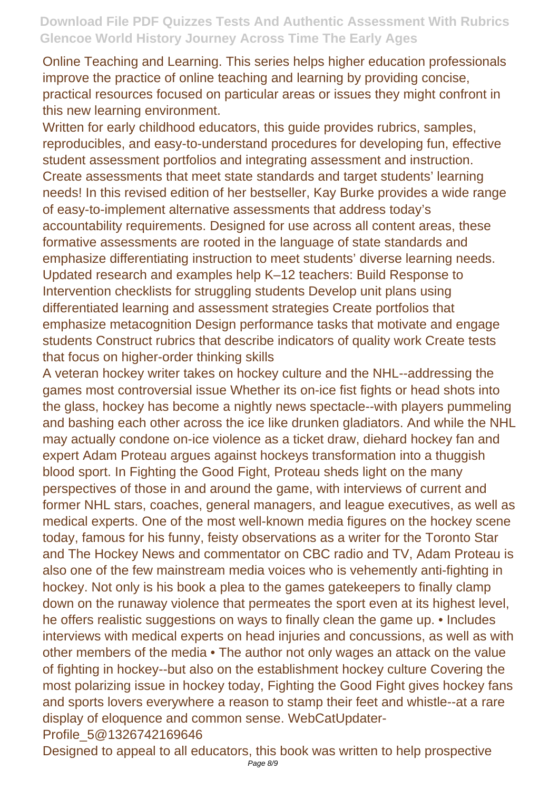Online Teaching and Learning. This series helps higher education professionals improve the practice of online teaching and learning by providing concise, practical resources focused on particular areas or issues they might confront in this new learning environment.

Written for early childhood educators, this guide provides rubrics, samples, reproducibles, and easy-to-understand procedures for developing fun, effective student assessment portfolios and integrating assessment and instruction. Create assessments that meet state standards and target students' learning needs! In this revised edition of her bestseller, Kay Burke provides a wide range of easy-to-implement alternative assessments that address today's accountability requirements. Designed for use across all content areas, these formative assessments are rooted in the language of state standards and emphasize differentiating instruction to meet students' diverse learning needs. Updated research and examples help K–12 teachers: Build Response to Intervention checklists for struggling students Develop unit plans using differentiated learning and assessment strategies Create portfolios that emphasize metacognition Design performance tasks that motivate and engage students Construct rubrics that describe indicators of quality work Create tests that focus on higher-order thinking skills

A veteran hockey writer takes on hockey culture and the NHL--addressing the games most controversial issue Whether its on-ice fist fights or head shots into the glass, hockey has become a nightly news spectacle--with players pummeling and bashing each other across the ice like drunken gladiators. And while the NHL may actually condone on-ice violence as a ticket draw, diehard hockey fan and expert Adam Proteau argues against hockeys transformation into a thuggish blood sport. In Fighting the Good Fight, Proteau sheds light on the many perspectives of those in and around the game, with interviews of current and former NHL stars, coaches, general managers, and league executives, as well as medical experts. One of the most well-known media figures on the hockey scene today, famous for his funny, feisty observations as a writer for the Toronto Star and The Hockey News and commentator on CBC radio and TV, Adam Proteau is also one of the few mainstream media voices who is vehemently anti-fighting in hockey. Not only is his book a plea to the games gatekeepers to finally clamp down on the runaway violence that permeates the sport even at its highest level, he offers realistic suggestions on ways to finally clean the game up. • Includes interviews with medical experts on head injuries and concussions, as well as with other members of the media • The author not only wages an attack on the value of fighting in hockey--but also on the establishment hockey culture Covering the most polarizing issue in hockey today, Fighting the Good Fight gives hockey fans and sports lovers everywhere a reason to stamp their feet and whistle--at a rare display of eloquence and common sense. WebCatUpdater-Profile\_5@1326742169646

Designed to appeal to all educators, this book was written to help prospective